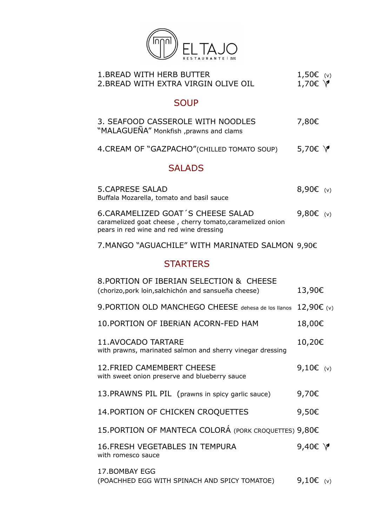

| <b>1. BREAD WITH HERB BUTTER</b><br>2. BREAD WITH EXTRA VIRGIN OLIVE OIL                                                                  | 1,50 $\varepsilon$ (v)<br>1,70 $\in$ $\forall$ |
|-------------------------------------------------------------------------------------------------------------------------------------------|------------------------------------------------|
| <b>SOUP</b>                                                                                                                               |                                                |
| 3. SEAFOOD CASSEROLE WITH NOODLES<br>"MALAGUENA" Monkfish , prawns and clams                                                              | 7,80€                                          |
| 4. CREAM OF "GAZPACHO" (CHILLED TOMATO SOUP)                                                                                              | 5,70€ \                                        |
| <b>SALADS</b>                                                                                                                             |                                                |
| <b>5.CAPRESE SALAD</b><br>Buffala Mozarella, tomato and basil sauce                                                                       | 8,90 $\varepsilon$ (v)                         |
| 6.CARAMELIZED GOAT'S CHEESE SALAD<br>caramelized goat cheese, cherry tomato, caramelized onion<br>pears in red wine and red wine dressing | 9,80 $\varepsilon$ (v)                         |
| 7. MANGO "AGUACHILE" WITH MARINATED SALMON 9,90€                                                                                          |                                                |
| <b>STARTERS</b>                                                                                                                           |                                                |
| 8. PORTION OF IBERIAN SELECTION & CHEESE<br>(chorizo, pork loin, salchichón and sansueña cheese)                                          | 13,90€                                         |
| 9. PORTION OLD MANCHEGO CHEESE dehesa de los llanos                                                                                       | 12,90€ (v)                                     |
| 10. PORTION OF IBERIAN ACORN-FED HAM                                                                                                      | 18,00€                                         |
| <b>11.AVOCADO TARTARE</b><br>with prawns, marinated salmon and sherry vinegar dressing                                                    | 10,20€                                         |
| <b>12. FRIED CAMEMBERT CHEESE</b><br>with sweet onion preserve and blueberry sauce                                                        | 9,10 $\varepsilon$ (v)                         |
| 13. PRAWNS PIL PIL (prawns in spicy garlic sauce)                                                                                         |                                                |
|                                                                                                                                           | 9,70€                                          |
| 14. PORTION OF CHICKEN CROQUETTES                                                                                                         | 9,50€                                          |
| 15. PORTION OF MANTECA COLORÁ (PORK CROQUETTES) 9,80€                                                                                     |                                                |
| <b>16. FRESH VEGETABLES IN TEMPURA</b><br>with romesco sauce                                                                              | 9,40 $\in$ $\forall$                           |